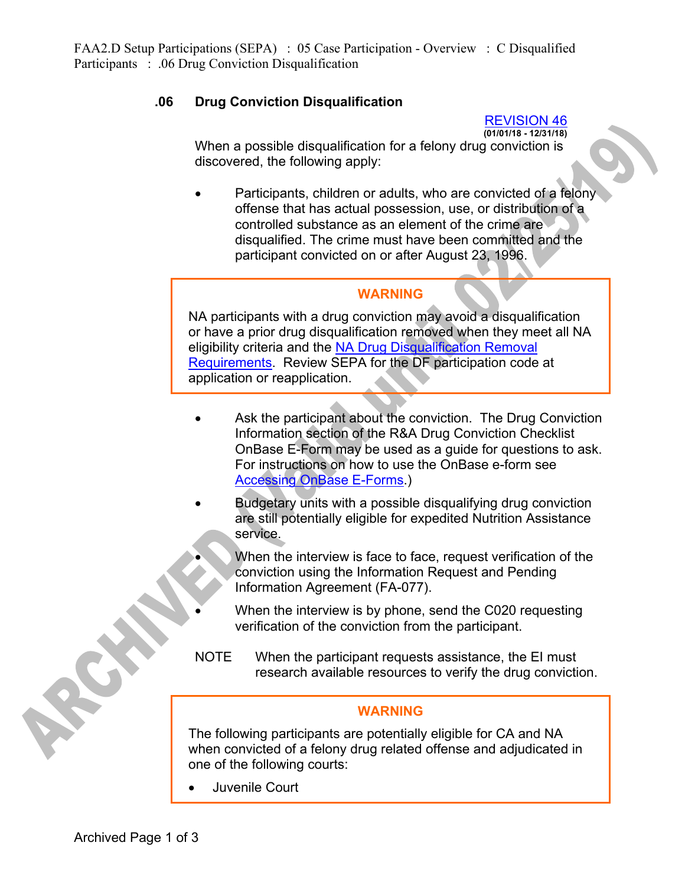## **.06 Drug Conviction Disqualification**

REVISION 46

**(01/01/18 - 12/31/18)** When a possible disqualification for a felony drug conviction is discovered, the following apply:

Participants, children or adults, who are convicted of a felony offense that has actual possession, use, or distribution of a controlled substance as an element of the crime are disqualified. The crime must have been committed and the participant convicted on or after August 23, 1996.

## **WARNING**

NA participants with a drug conviction may avoid a disqualification or have a prior drug disqualification removed when they meet all NA eligibility criteria and the NA Drug Disqualification Removal Requirements. Review SEPA for the DF participation code at application or reapplication.

- Ask the participant about the conviction. The Drug Conviction Information section of the R&A Drug Conviction Checklist OnBase E-Form may be used as a guide for questions to ask. For instructions on how to use the OnBase e-form see Accessing OnBase E-Forms.)
- Budgetary units with a possible disqualifying drug conviction are still potentially eligible for expedited Nutrition Assistance service.
	- When the interview is face to face, request verification of the conviction using the Information Request and Pending Information Agreement (FA-077).
- When the interview is by phone, send the C020 requesting verification of the conviction from the participant.
- NOTE When the participant requests assistance, the EI must research available resources to verify the drug conviction.

## **WARNING**

The following participants are potentially eligible for CA and NA when convicted of a felony drug related offense and adjudicated in one of the following courts:

• Juvenile Court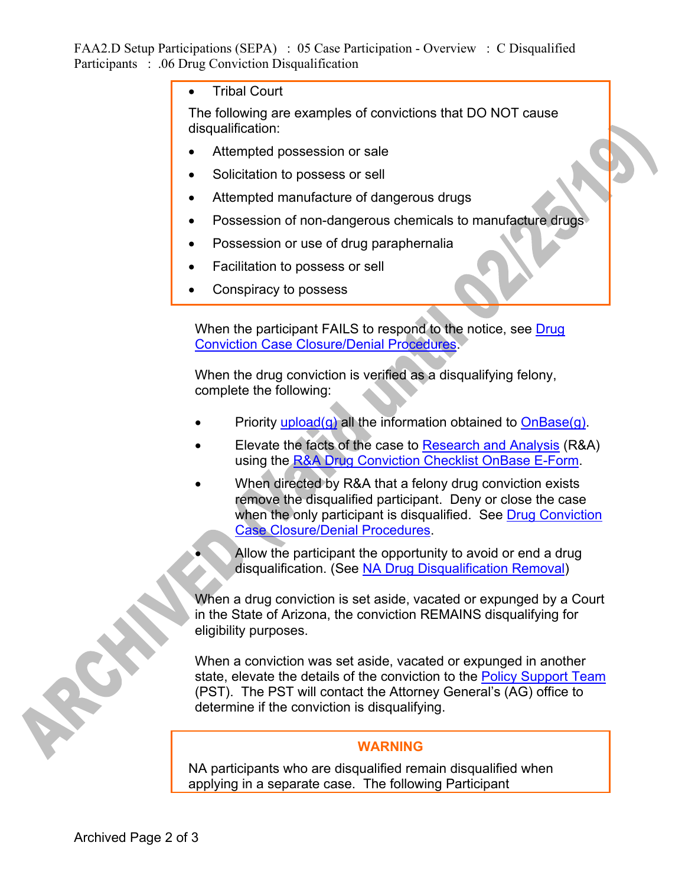FAA2.D Setup Participations (SEPA) : 05 Case Participation - Overview : C Disqualified Participants : .06 Drug Conviction Disqualification

**Tribal Court** 

The following are examples of convictions that DO NOT cause disqualification:

- Attempted possession or sale
- Solicitation to possess or sell
- Attempted manufacture of dangerous drugs
- Possession of non-dangerous chemicals to manufacture drugs
- Possession or use of drug paraphernalia
- Facilitation to possess or sell
- Conspiracy to possess

When the participant FAILS to respond to the notice, see Drug Conviction Case Closure/Denial Procedures.

When the drug conviction is verified as a disqualifying felony, complete the following:

- Priority upload( $q$ ) all the information obtained to  $OnBase(q)$ .
- Elevate the facts of the case to Research and Analysis (R&A) using the R&A Drug Conviction Checklist OnBase E-Form.
- When directed by R&A that a felony drug conviction exists remove the disqualified participant. Deny or close the case when the only participant is disqualified. See Drug Conviction Case Closure/Denial Procedures.
	- Allow the participant the opportunity to avoid or end a drug disqualification. (See NA Drug Disqualification Removal)

When a drug conviction is set aside, vacated or expunged by a Court in the State of Arizona, the conviction REMAINS disqualifying for eligibility purposes.

When a conviction was set aside, vacated or expunged in another state, elevate the details of the conviction to the Policy Support Team (PST). The PST will contact the Attorney General's (AG) office to determine if the conviction is disqualifying.

## **WARNING**

NA participants who are disqualified remain disqualified when applying in a separate case. The following Participant